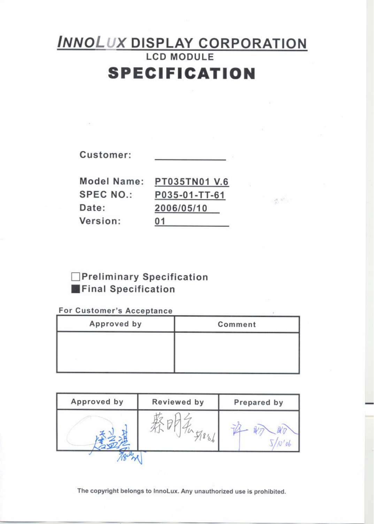# **INNOLUX DISPLAY CORPORATION SPECIFICATION**

 $\label{eq:2.1} \frac{d}{dt}\mathcal{R}^{(1)}\mathcal{R}^{(1)}$ 

Customer:

| Model Name:  | PT035TN01 V.6 |
|--------------|---------------|
| SPEC NO.:    | P035-01-TT-61 |
| <b>Date:</b> | 2006/05/10    |
| Version:     | 01            |
|              |               |

### Preliminary Specification Final Specification

### For Customer's Acceptance

| Approved by | Comment |
|-------------|---------|
|             |         |
|             |         |
|             |         |

| Approved by | Reviewed by | Prepared by |  |  |
|-------------|-------------|-------------|--|--|
|             |             |             |  |  |
|             |             |             |  |  |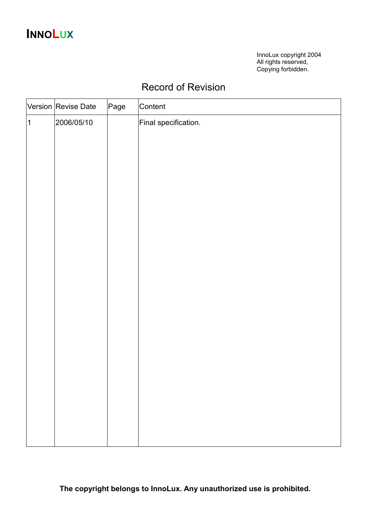## **INNOLUX**

InnoLux copyright 2004 All rights reserved, Copying forbidden.

### Record of Revision

|                | Version Revise Date | Page | Content              |
|----------------|---------------------|------|----------------------|
| $\overline{1}$ | 2006/05/10          |      | Final specification. |
|                |                     |      |                      |
|                |                     |      |                      |
|                |                     |      |                      |
|                |                     |      |                      |
|                |                     |      |                      |
|                |                     |      |                      |
|                |                     |      |                      |
|                |                     |      |                      |
|                |                     |      |                      |
|                |                     |      |                      |
|                |                     |      |                      |
|                |                     |      |                      |
|                |                     |      |                      |
|                |                     |      |                      |
|                |                     |      |                      |
|                |                     |      |                      |
|                |                     |      |                      |
|                |                     |      |                      |
|                |                     |      |                      |
|                |                     |      |                      |
|                |                     |      |                      |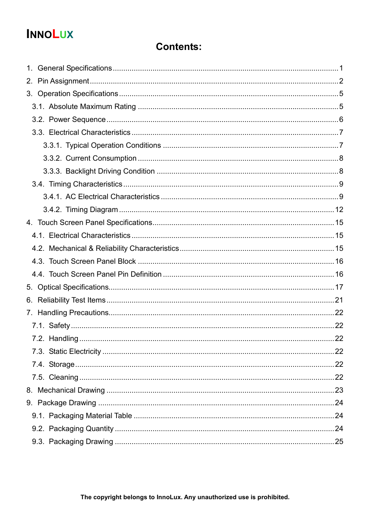## **INNOLUX**

### **Contents:**

| 2. |  |
|----|--|
|    |  |
|    |  |
|    |  |
|    |  |
|    |  |
|    |  |
|    |  |
|    |  |
|    |  |
|    |  |
|    |  |
|    |  |
|    |  |
|    |  |
|    |  |
|    |  |
|    |  |
|    |  |
|    |  |
|    |  |
|    |  |
|    |  |
|    |  |
|    |  |
|    |  |
|    |  |
|    |  |
|    |  |
|    |  |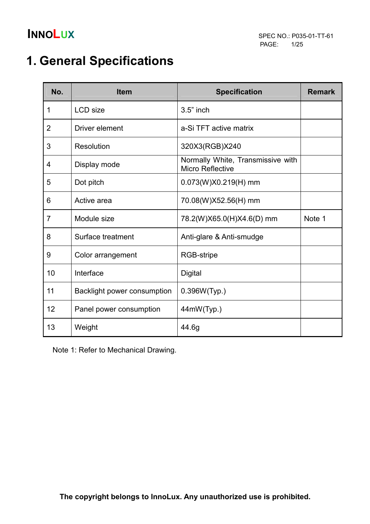## 1. General Specifications

| No.            | <b>Item</b>                 | <b>Specification</b>                                         | <b>Remark</b> |
|----------------|-----------------------------|--------------------------------------------------------------|---------------|
| 1              | <b>LCD</b> size             | $3.5"$ inch                                                  |               |
| $\overline{2}$ | Driver element              | a-Si TFT active matrix                                       |               |
| 3              | Resolution                  | 320X3(RGB)X240                                               |               |
| 4              | Display mode                | Normally White, Transmissive with<br><b>Micro Reflective</b> |               |
| 5              | Dot pitch                   | $0.073(W)X0.219(H)$ mm                                       |               |
| 6              | Active area                 | 70.08(W)X52.56(H) mm                                         |               |
| $\overline{7}$ | Module size                 | 78.2(W)X65.0(H)X4.6(D) mm                                    | Note 1        |
| 8              | Surface treatment           | Anti-glare & Anti-smudge                                     |               |
| 9              | Color arrangement           | RGB-stripe                                                   |               |
| 10             | Interface                   | <b>Digital</b>                                               |               |
| 11             | Backlight power consumption | 0.396W(Typ.)                                                 |               |
| 12             | Panel power consumption     | 44mW(Typ.)                                                   |               |
| 13             | Weight                      | 44.6g                                                        |               |

Note 1: Refer to Mechanical Drawing.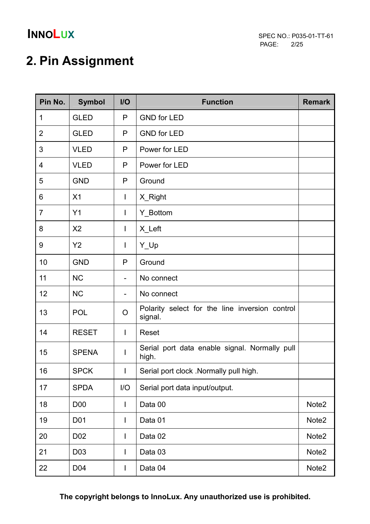## 2. Pin Assignment

| Pin No.        | <b>Symbol</b>    | $II$              | <b>Function</b>                                           | <b>Remark</b>     |  |
|----------------|------------------|-------------------|-----------------------------------------------------------|-------------------|--|
| 1              | <b>GLED</b>      | P                 | <b>GND for LED</b>                                        |                   |  |
| $\overline{2}$ | <b>GLED</b>      | P                 | <b>GND for LED</b>                                        |                   |  |
| 3              | <b>VLED</b>      | P                 | Power for LED                                             |                   |  |
| $\overline{4}$ | <b>VLED</b>      | P                 | Power for LED                                             |                   |  |
| 5              | <b>GND</b>       | P                 | Ground                                                    |                   |  |
| 6              | X <sub>1</sub>   | I                 | X_Right                                                   |                   |  |
| $\overline{7}$ | Y1               | I                 | Y_Bottom                                                  |                   |  |
| 8              | X <sub>2</sub>   | $\mathsf{I}$      | X_Left                                                    |                   |  |
| 9              | Y2               | $\mathsf{I}$      | Y_Up                                                      |                   |  |
| 10             | <b>GND</b>       | P                 | Ground                                                    |                   |  |
| 11             | <b>NC</b>        |                   | No connect                                                |                   |  |
| 12             | <b>NC</b>        | $\qquad \qquad -$ | No connect                                                |                   |  |
| 13             | <b>POL</b>       | O                 | Polarity select for the line inversion control<br>signal. |                   |  |
| 14             | <b>RESET</b>     | $\mathsf{l}$      | Reset                                                     |                   |  |
| 15             | <b>SPENA</b>     | I                 | Serial port data enable signal. Normally pull<br>high.    |                   |  |
| 16             | <b>SPCK</b>      |                   | Serial port clock .Normally pull high.                    |                   |  |
| 17             | <b>SPDA</b>      | I/O               | Serial port data input/output.                            |                   |  |
| 18             | <b>D00</b>       | I                 | Data 00                                                   | Note2             |  |
| 19             | D <sub>0</sub> 1 | $\mathsf{l}$      | Data 01                                                   | Note2             |  |
| 20             | D <sub>02</sub>  | I                 | Data 02                                                   | Note <sub>2</sub> |  |
| 21             | D <sub>0</sub> 3 | L                 | Data 03                                                   | Note <sub>2</sub> |  |
| 22             | D04              | I                 | Data 04                                                   | Note <sub>2</sub> |  |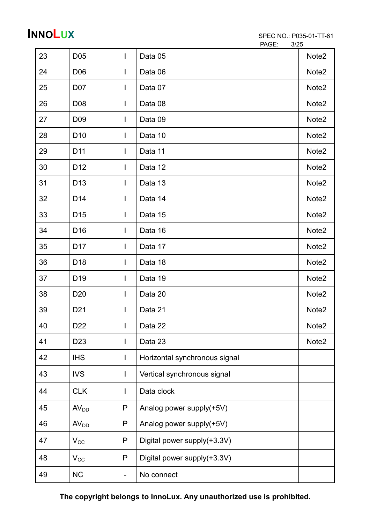| 23 | D <sub>05</sub>  | $\mathbf{I}$ | Data 05                       | Note <sub>2</sub> |
|----|------------------|--------------|-------------------------------|-------------------|
| 24 | D <sub>06</sub>  | I            | Data 06                       | Note <sub>2</sub> |
| 25 | D07              | I            | Data 07                       | Note <sub>2</sub> |
| 26 | D <sub>0</sub> 8 | I            | Data 08                       | Note <sub>2</sub> |
| 27 | D <sub>09</sub>  | $\mathsf{I}$ | Data 09                       | Note <sub>2</sub> |
| 28 | D <sub>10</sub>  | $\mathsf{l}$ | Data 10                       | Note2             |
| 29 | D <sub>11</sub>  | $\mathbf{I}$ | Data 11                       | Note <sub>2</sub> |
| 30 | D <sub>12</sub>  | $\mathbf{I}$ | Data 12                       | Note2             |
| 31 | D <sub>13</sub>  | $\mathsf{l}$ | Data 13                       | Note <sub>2</sub> |
| 32 | D <sub>14</sub>  | I            | Data 14                       | Note2             |
| 33 | D <sub>15</sub>  | $\mathsf{l}$ | Data 15                       | Note <sub>2</sub> |
| 34 | D <sub>16</sub>  | $\mathsf{I}$ | Data 16                       | Note <sub>2</sub> |
| 35 | D <sub>17</sub>  | $\mathbf{I}$ | Data 17                       | Note <sub>2</sub> |
| 36 | D <sub>18</sub>  | $\mathsf{I}$ | Data 18                       | Note2             |
| 37 | D <sub>19</sub>  | $\mathsf{I}$ | Data 19                       | Note2             |
| 38 | D <sub>20</sub>  | $\mathsf{l}$ | Data 20                       | Note2             |
| 39 | D <sub>21</sub>  | I            | Data 21                       | Note <sub>2</sub> |
| 40 | D <sub>22</sub>  | $\mathbf{L}$ | Data 22                       | Note <sub>2</sub> |
| 41 | D <sub>23</sub>  | $\mathsf{l}$ | Data 23                       | Note2             |
| 42 | <b>IHS</b>       | $\mathsf{l}$ | Horizontal synchronous signal |                   |
| 43 | <b>IVS</b>       | I.           | Vertical synchronous signal   |                   |
| 44 | <b>CLK</b>       | I            | Data clock                    |                   |
| 45 | AV <sub>DD</sub> | P            | Analog power supply(+5V)      |                   |
| 46 | AV <sub>DD</sub> | P            | Analog power supply(+5V)      |                   |
| 47 | $V_{CC}$         | P            | Digital power supply(+3.3V)   |                   |
| 48 | $V_{CC}$         | P            | Digital power supply(+3.3V)   |                   |
| 49 | <b>NC</b>        | -            | No connect                    |                   |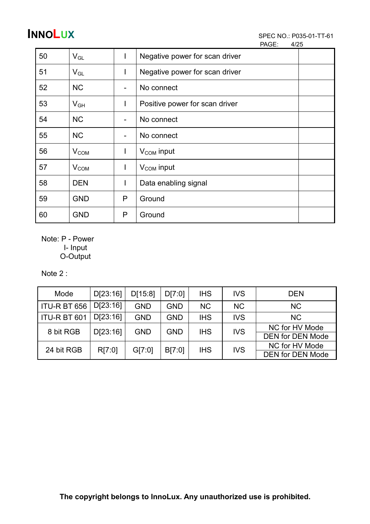PAGE: 4/25

| 50 | $V_{GL}$         |                          | Negative power for scan driver |
|----|------------------|--------------------------|--------------------------------|
| 51 | $V_{GL}$         | л.                       | Negative power for scan driver |
| 52 | <b>NC</b>        | $\qquad \qquad$          | No connect                     |
| 53 | $V_{GH}$         |                          | Positive power for scan driver |
| 54 | <b>NC</b>        | $\overline{\phantom{a}}$ | No connect                     |
| 55 | <b>NC</b>        | $\overline{\phantom{a}}$ | No connect                     |
| 56 | $V_{COM}$        | L                        | $V_{COM}$ input                |
| 57 | V <sub>COM</sub> | I                        | $V_{COM}$ input                |
| 58 | <b>DEN</b>       |                          | Data enabling signal           |
| 59 | <b>GND</b>       | P                        | Ground                         |
| 60 | <b>GND</b>       | P                        | Ground                         |

 Note: P - Power I- Input O-Output

Note 2 :

| Mode         | D[23:16] | D[15:8]    | D[7:0]     | <b>IHS</b>               | <b>IVS</b>     | <b>DEN</b>              |
|--------------|----------|------------|------------|--------------------------|----------------|-------------------------|
| ITU-R BT 656 | D[23:16] | <b>GND</b> | <b>GND</b> | <b>NC</b>                | <b>NC</b>      | <b>NC</b>               |
| ITU-R BT 601 | D[23:16] | <b>GND</b> | GND        | <b>IHS</b>               | <b>IVS</b>     | <b>NC</b>               |
| 8 bit RGB    | D[23:16] | <b>GND</b> | GND        | <b>IVS</b><br><b>IHS</b> | NC for HV Mode |                         |
|              |          |            |            |                          |                | <b>DEN for DEN Mode</b> |
| 24 bit RGB   | R[7:0]   | GI7:01     | B[7:0]     | <b>IHS</b>               | <b>IVS</b>     | NC for HV Mode          |
|              |          |            |            |                          |                | <b>DEN for DEN Mode</b> |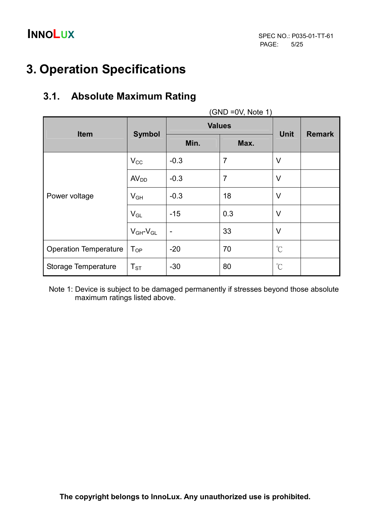## 3. Operation Specifications

### 3.1. Absolute Maximum Rating

| $(SND = 0V, Note 1)$         |                     |                          |                |                      |               |  |
|------------------------------|---------------------|--------------------------|----------------|----------------------|---------------|--|
|                              |                     | <b>Values</b>            |                |                      |               |  |
| <b>Item</b>                  | <b>Symbol</b>       | Min.                     | Max.           | <b>Unit</b>          | <b>Remark</b> |  |
|                              | $V_{CC}$            | $-0.3$                   | $\overline{7}$ | $\vee$               |               |  |
| Power voltage                | AV <sub>DD</sub>    | $-0.3$                   | $\overline{7}$ | $\vee$               |               |  |
|                              | $V_{GH}$            | $-0.3$                   | 18             | $\vee$               |               |  |
|                              | $V_{GL}$            | $-15$                    | 0.3            | $\vee$               |               |  |
|                              | $V_{GH}$ - $V_{GL}$ | $\overline{\phantom{a}}$ | 33             | $\vee$               |               |  |
| <b>Operation Temperature</b> | $T_{OP}$            | $-20$                    | 70             | $\mathrm{C}^{\circ}$ |               |  |
| Storage Temperature          | $T_{ST}$            | $-30$                    | 80             | $\mathrm{C}$         |               |  |

 Note 1: Device is subject to be damaged permanently if stresses beyond those absolute maximum ratings listed above.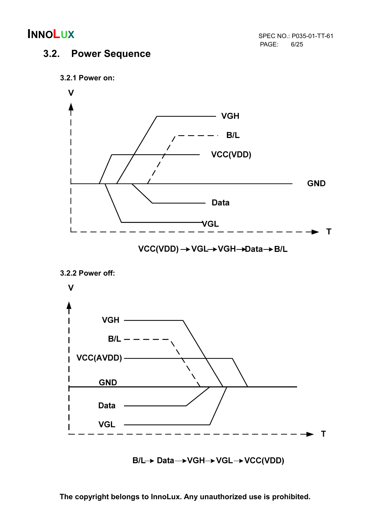PAGE: 6/25

### 3.2. Power Sequence



 $B/L \rightarrow Data \rightarrow VGH \rightarrow VGL \rightarrow VCC(VDD)$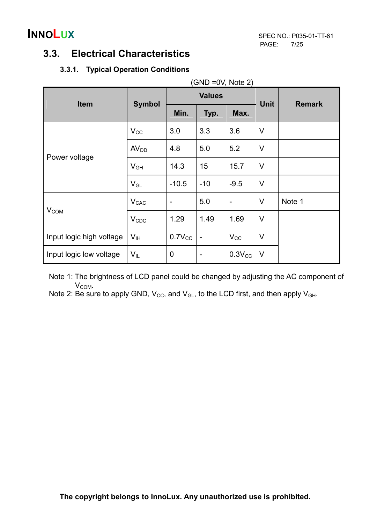### 3.3. Electrical Characteristics

### 3.3.1. Typical Operation Conditions

| $(SND = 0V, Note 2)$     |                  |                 |                          |                 |             |               |  |
|--------------------------|------------------|-----------------|--------------------------|-----------------|-------------|---------------|--|
| <b>Item</b>              | <b>Symbol</b>    |                 | <b>Values</b>            |                 | <b>Unit</b> | <b>Remark</b> |  |
|                          |                  | Min.            | Typ.                     | Max.            |             |               |  |
|                          | $V_{CC}$         | 3.0             | 3.3                      | 3.6             | $\vee$      |               |  |
| Power voltage            | AV <sub>DD</sub> | 4.8             | 5.0                      | 5.2             | $\vee$      |               |  |
|                          | $V_{GH}$         | 14.3            | 15                       | 15.7            | $\vee$      |               |  |
|                          | $V_{GL}$         | $-10.5$         | $-10$                    | $-9.5$          | $\vee$      |               |  |
|                          | $V_{CAC}$        | $\qquad \qquad$ | 5.0                      | $\qquad \qquad$ | $\vee$      | Note 1        |  |
| $V_{COM}$                | $V_{CDC}$        | 1.29            | 1.49                     | 1.69            | $\vee$      |               |  |
| Input logic high voltage | V <sub>IH</sub>  | $0.7V_{CC}$     | $\overline{\phantom{a}}$ | $V_{\rm CC}$    | $\vee$      |               |  |
| Input logic low voltage  | $V_{IL}$         | $\mathbf 0$     |                          | $0.3V_{CC}$     | $\vee$      |               |  |

 Note 1: The brightness of LCD panel could be changed by adjusting the AC component of V<sub>COM</sub>.

Note 2: Be sure to apply GND,  $V_{CC}$ , and  $V_{GL}$ , to the LCD first, and then apply  $V_{GH}$ .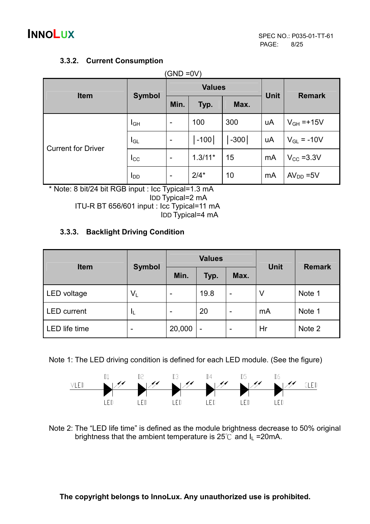### 3.3.2. Current Consumption

| <b>Item</b>               | <b>Symbol</b>   |                          | <b>Values</b> | <b>Unit</b> | <b>Remark</b> |                       |
|---------------------------|-----------------|--------------------------|---------------|-------------|---------------|-----------------------|
|                           |                 | Min.                     | Typ.          | Max.        |               |                       |
|                           | IGН             | $\overline{\phantom{a}}$ | 100           | 300         | uA            | $V_{GH}$ =+15V        |
|                           | $I_{GL}$        | $\overline{\phantom{0}}$ | -100          | -300        | uA            | $V_{GL} = -10V$       |
| <b>Current for Driver</b> | $_{\text{Lcc}}$ | $\qquad \qquad$          | $1.3/11*$     | 15          | mA            | $V_{\text{CC}}$ =3.3V |
|                           | <b>I</b> DD     | $\overline{\phantom{a}}$ | $2/4*$        | 10          | mA            | $AVDD = 5V$           |

\* Note: 8 bit/24 bit RGB input : Icc Typical=1.3 mA IDD Typical=2 mA ITU-R BT 656/601 input : Icc Typical=11 mA IDD Typical=4 mA

### 3.3.3. Backlight Driving Condition

| <b>Item</b>          |                          |                          | <b>Values</b> |                          | <b>Unit</b> | <b>Remark</b> |
|----------------------|--------------------------|--------------------------|---------------|--------------------------|-------------|---------------|
|                      | <b>Symbol</b>            | Min.                     | Typ.          | Max.                     |             |               |
| LED voltage          | $V_L$                    | $\overline{\phantom{0}}$ | 19.8          | -                        | V           | Note 1        |
| <b>LED</b> current   | ΙL                       | $\overline{\phantom{0}}$ | 20            | $\overline{\phantom{0}}$ | mA          | Note 1        |
| <b>LED</b> life time | $\overline{\phantom{0}}$ | 20,000                   |               |                          | Hr          | Note 2        |

Note 1: The LED driving condition is defined for each LED module. (See the figure)



Note 2: The "LED life time" is defined as the module brightness decrease to 50% original brightness that the ambient temperature is  $25^{\circ}$  and  $I_L$  = 20mA.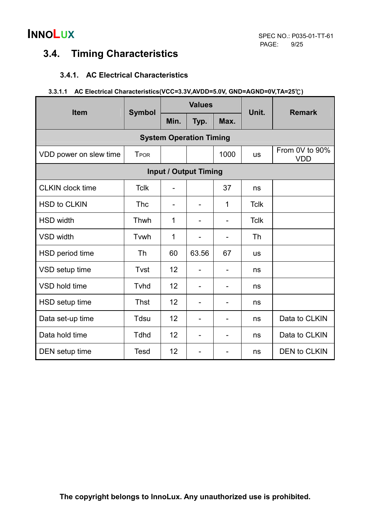

### 3.4. Timing Characteristics

### 3.4.1. AC Electrical Characteristics

| 3.3.1.1 AC Electrical Characteristics(VCC=3.3V,AVDD=5.0V, GND=AGND=0V,TA=25°C) |  |
|--------------------------------------------------------------------------------|--|
|                                                                                |  |

| <b>Item</b>                    | <b>Symbol</b> |                          | <b>Values</b>  |      | Unit.       | <b>Remark</b>                |  |  |  |  |  |
|--------------------------------|---------------|--------------------------|----------------|------|-------------|------------------------------|--|--|--|--|--|
|                                |               | Min.                     | Typ.           | Max. |             |                              |  |  |  |  |  |
| <b>System Operation Timing</b> |               |                          |                |      |             |                              |  |  |  |  |  |
| VDD power on slew time         | <b>T</b> POR  |                          |                | 1000 | <b>us</b>   | From 0V to 90%<br><b>VDD</b> |  |  |  |  |  |
| <b>Input / Output Timing</b>   |               |                          |                |      |             |                              |  |  |  |  |  |
| <b>CLKIN clock time</b>        | <b>Tclk</b>   | $\overline{\phantom{0}}$ |                | 37   | ns          |                              |  |  |  |  |  |
| <b>HSD to CLKIN</b>            | <b>Thc</b>    | $\overline{\phantom{0}}$ | -              | 1    | <b>Tclk</b> |                              |  |  |  |  |  |
| <b>HSD width</b>               | Thwh          | 1                        |                |      | <b>Tclk</b> |                              |  |  |  |  |  |
| <b>VSD width</b>               | Tvwh          | 1                        |                |      | <b>Th</b>   |                              |  |  |  |  |  |
| HSD period time                | Th            | 60                       | 63.56          | 67   | <b>us</b>   |                              |  |  |  |  |  |
| VSD setup time                 | Tvst          | 12                       |                |      | ns          |                              |  |  |  |  |  |
| VSD hold time                  | Tyhd          | 12                       |                |      | ns          |                              |  |  |  |  |  |
| HSD setup time                 | <b>Thst</b>   | 12                       | -              |      | ns          |                              |  |  |  |  |  |
| Data set-up time               | Tdsu          | 12                       | $\overline{a}$ |      | ns          | Data to CLKIN                |  |  |  |  |  |
| Data hold time                 | <b>Tdhd</b>   | 12                       | $\overline{a}$ |      | ns          | Data to CLKIN                |  |  |  |  |  |
| DEN setup time                 | <b>Tesd</b>   | 12                       |                |      | ns          | <b>DEN to CLKIN</b>          |  |  |  |  |  |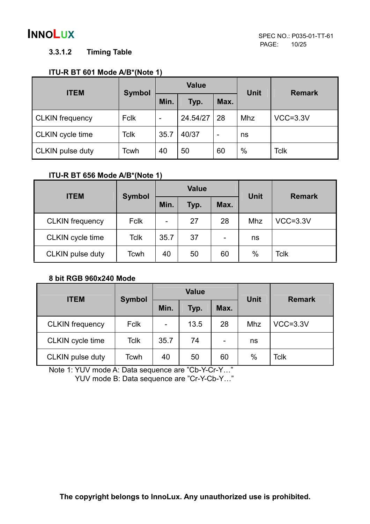### 3.3.1.2 Timing Table

### ITU-R BT 601 Mode A/B\*(Note 1)

| <b>ITEM</b>            | <b>Symbol</b> |      | <b>Value</b> |    | <b>Unit</b> | <b>Remark</b> |
|------------------------|---------------|------|--------------|----|-------------|---------------|
|                        |               | Min. | Max.<br>Typ. |    |             |               |
| <b>CLKIN</b> frequency | <b>Fclk</b>   | -    | 24.54/27     | 28 | Mhz         | $VCC=3.3V$    |
| CLKIN cycle time       | Tclk          | 35.7 | 40/37        | -  | ns          |               |
| CLKIN pulse duty       | Tcwh          | 40   | 50           | 60 | $\%$        | <b>Tclk</b>   |

### ITU-R BT 656 Mode A/B\*(Note 1)

| <b>ITEM</b>            | <b>Symbol</b> |                          | <b>Value</b> |    | <b>Unit</b> | <b>Remark</b> |
|------------------------|---------------|--------------------------|--------------|----|-------------|---------------|
|                        |               | Min.                     | Max.<br>Typ. |    |             |               |
| <b>CLKIN</b> frequency | Fclk          | $\overline{\phantom{a}}$ | 27           | 28 | Mhz         | $VCC=3.3V$    |
| CLKIN cycle time       | <b>Tclk</b>   | 35.7                     | 37           | -  | ns          |               |
| CLKIN pulse duty       | Tcwh          | 40                       | 50           | 60 | $\%$        | <b>Tclk</b>   |

### 8 bit RGB 960x240 Mode

| <b>ITEM</b>            | <b>Symbol</b> |                | <b>Value</b> |      | <b>Unit</b> | <b>Remark</b> |
|------------------------|---------------|----------------|--------------|------|-------------|---------------|
|                        |               | Min.<br>Typ.   |              | Max. |             |               |
| <b>CLKIN</b> frequency | <b>Fclk</b>   | $\blacksquare$ | 13.5         | 28   | Mhz         | $VCC=3.3V$    |
| CLKIN cycle time       | <b>Tclk</b>   | 35.7           | 74           | -    | ns          |               |
| CLKIN pulse duty       | Tcwh          | 40             | 50           | 60   | $\%$        | Tclk          |

Note 1: YUV mode A: Data sequence are "Cb-Y-Cr-Y…"

YUV mode B: Data sequence are "Cr-Y-Cb-Y…"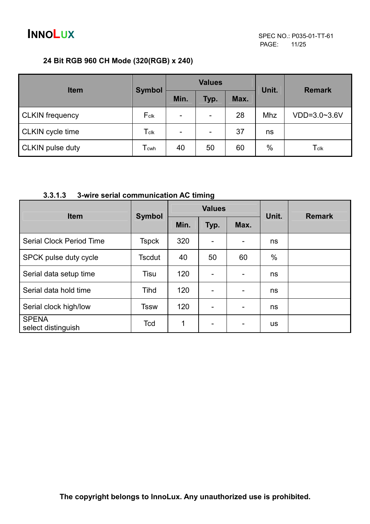### 24 Bit RGB 960 CH Mode (320(RGB) x 240)

| <b>Item</b>             | <b>Symbol</b>               |                          | <b>Values</b> |      | Unit. | <b>Remark</b> |
|-------------------------|-----------------------------|--------------------------|---------------|------|-------|---------------|
|                         |                             | Min.                     | Typ.          | Max. |       |               |
| <b>CLKIN</b> frequency  | Fclk                        | $\overline{\phantom{a}}$ | -             | 28   | Mhz   | VDD=3.0~3.6V  |
| <b>CLKIN</b> cycle time | $\mathsf{T}_{\mathsf{clk}}$ | $\overline{\phantom{a}}$ | -             | 37   | ns    |               |
| <b>CLKIN pulse duty</b> | $T_{\mathsf{cwh}}$          | 40                       | 50            | 60   | %     | Tclk          |

### 3.3.1.3 3-wire serial communication AC timing

| <b>Item</b>                        | <b>Symbol</b> |      | <b>Values</b>            |                          | Unit.     | <b>Remark</b> |
|------------------------------------|---------------|------|--------------------------|--------------------------|-----------|---------------|
|                                    |               | Min. | Typ.                     | Max.                     |           |               |
| <b>Serial Clock Period Time</b>    | <b>Tspck</b>  | 320  | $\overline{a}$           | -                        | ns        |               |
| SPCK pulse duty cycle              | <b>Tscdut</b> | 40   | 50                       | 60                       | $\%$      |               |
| Serial data setup time             | Tisu          | 120  |                          | $\overline{\phantom{a}}$ | ns        |               |
| Serial data hold time              | Tihd          | 120  | ۰                        | $\overline{\phantom{0}}$ | ns        |               |
| Serial clock high/low              | <b>Tssw</b>   | 120  | $\overline{\phantom{0}}$ | $\overline{\phantom{a}}$ | ns        |               |
| <b>SPENA</b><br>select distinguish | Tcd           | 1    | $\overline{\phantom{0}}$ | Ξ.                       | <b>us</b> |               |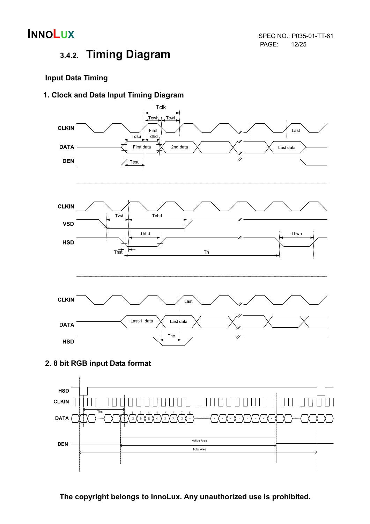

## 3.4.2. Timing Diagram

### Input Data Timing

### 1. Clock and Data Input Timing Diagram



### 2. 8 bit RGB input Data format

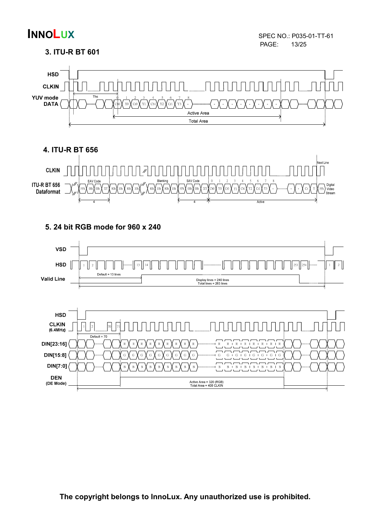### 3. ITU-R BT 601





5. 24 bit RGB mode for 960 x 240

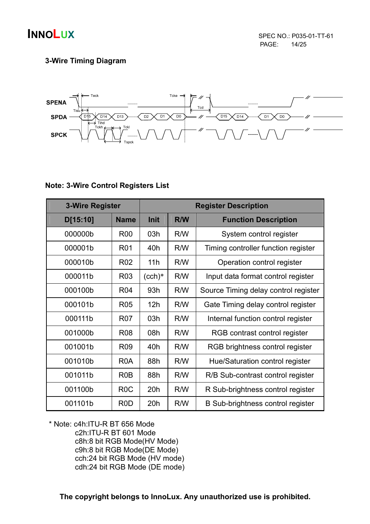

### 3-Wire Timing Diagram



### Note: 3-Wire Control Registers List

| <b>3-Wire Register</b> |                  | <b>Register Description</b> |            |                                      |  |  |
|------------------------|------------------|-----------------------------|------------|--------------------------------------|--|--|
| D[15:10]               | <b>Name</b>      | Init                        | <b>R/W</b> | <b>Function Description</b>          |  |  |
| 000000b                | <b>R00</b>       | 03h                         | R/W        | System control register              |  |  |
| 000001b                | <b>R01</b>       | 40h                         | R/W        | Timing controller function register  |  |  |
| 000010b                | R <sub>02</sub>  | 11h                         | R/W        | Operation control register           |  |  |
| 000011b                | R <sub>03</sub>  | $($ cch $)*$                | R/W        | Input data format control register   |  |  |
| 000100b                | R04              | 93h                         | R/W        | Source Timing delay control register |  |  |
| 000101b                | <b>R05</b>       | 12h                         | R/W        | Gate Timing delay control register   |  |  |
| 000111b                | <b>R07</b>       | 03h                         | R/W        | Internal function control register   |  |  |
| 001000b                | <b>R08</b>       | 08h                         | R/W        | RGB contrast control register        |  |  |
| 001001b                | R <sub>09</sub>  | 40h                         | R/W        | RGB brightness control register      |  |  |
| 001010b                | R <sub>0</sub> A | 88h                         | R/W        | Hue/Saturation control register      |  |  |
| 001011b                | R <sub>0</sub> B | 88h                         | R/W        | R/B Sub-contrast control register    |  |  |
| 001100b                | R <sub>0</sub> C | 20h                         | R/W        | R Sub-brightness control register    |  |  |
| 001101b                | R <sub>0</sub> D | 20h                         | R/W        | B Sub-brightness control register    |  |  |

\* Note: c4h:ITU-R BT 656 Mode c2h:ITU-R BT 601 Mode c8h:8 bit RGB Mode(HV Mode) c9h:8 bit RGB Mode(DE Mode) cch:24 bit RGB Mode (HV mode) cdh:24 bit RGB Mode (DE mode)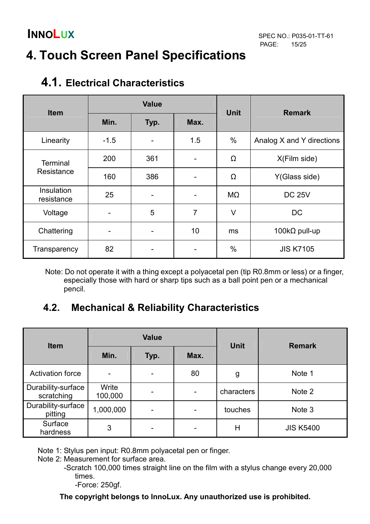## 4. Touch Screen Panel Specifications

| <b>Item</b>              |                      | <b>Value</b> |     | <b>Unit</b> | <b>Remark</b>             |
|--------------------------|----------------------|--------------|-----|-------------|---------------------------|
|                          | Min.<br>Max.<br>Typ. |              |     |             |                           |
| Linearity                | $-1.5$               |              | 1.5 | $\%$        | Analog X and Y directions |
| <b>Terminal</b>          | 200                  | 361          |     | Ω           | X(Film side)              |
| Resistance               | 160                  | 386          |     | Ω           | Y(Glass side)             |
| Insulation<br>resistance | 25                   |              |     | $M\Omega$   | <b>DC 25V</b>             |
| Voltage                  |                      | 5            | 7   | V           | <b>DC</b>                 |
| Chattering               |                      |              | 10  | ms          | 100k $\Omega$ pull-up     |
| Transparency             | 82                   |              |     | $\%$        | <b>JIS K7105</b>          |

## 4.1. Electrical Characteristics

Note: Do not operate it with a thing except a polyacetal pen (tip R0.8mm or less) or a finger, especially those with hard or sharp tips such as a ball point pen or a mechanical pencil.

### 4.2. Mechanical & Reliability Characteristics

| <b>Item</b>                      |                      | <b>Value</b>             |    | <b>Unit</b> | <b>Remark</b>    |
|----------------------------------|----------------------|--------------------------|----|-------------|------------------|
|                                  | Min.<br>Max.<br>Typ. |                          |    |             |                  |
| <b>Activation force</b>          |                      |                          | 80 | g           | Note 1           |
| Durability-surface<br>scratching | Write<br>100,000     |                          |    | characters  | Note 2           |
| Durability-surface<br>pitting    | 1,000,000            | $\overline{\phantom{0}}$ |    | touches     | Note 3           |
| Surface<br>hardness              | 3                    |                          |    | Η           | <b>JIS K5400</b> |

Note 1: Stylus pen input: R0.8mm polyacetal pen or finger.

Note 2: Measurement for surface area.

 -Scratch 100,000 times straight line on the film with a stylus change every 20,000 times.

-Force: 250gf.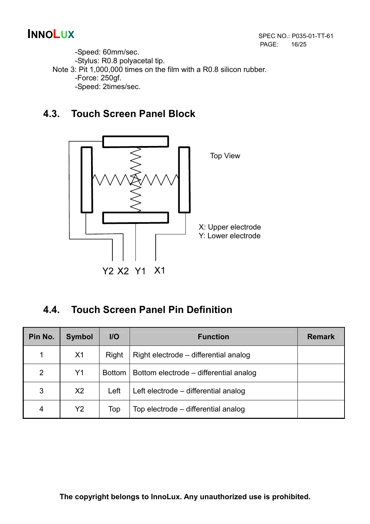-Speed: 60mm/sec. -Stylus: R0.8 polyacetal tip. Note 3: Pit 1,000,000 times on the film with a R0.8 silicon rubber. -Force: 250gf. -Speed: 2times/sec.

### 4.3. Touch Screen Panel Block



### 4.4. Touch Screen Panel Pin Definition

| Pin No. | <b>Symbol</b>  | $II$          | <b>Function</b>                        | <b>Remark</b> |
|---------|----------------|---------------|----------------------------------------|---------------|
|         | X <sub>1</sub> | Right         | Right electrode – differential analog  |               |
| 2       | Y1             | <b>Bottom</b> | Bottom electrode – differential analog |               |
| 3       | X <sub>2</sub> | Left          | Left electrode – differential analog   |               |
| 4       | Y2             | Top           | Top electrode – differential analog    |               |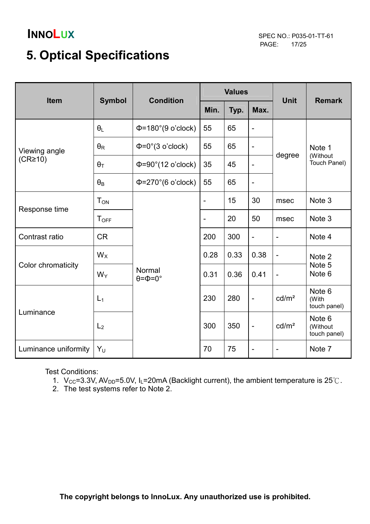PAGE: 17/25

## 5. Optical Specifications

| <b>Item</b>          | <b>Symbol</b>         | <b>Condition</b>                       | <b>Values</b>            |      |                          | <b>Unit</b>                  | <b>Remark</b>                      |  |
|----------------------|-----------------------|----------------------------------------|--------------------------|------|--------------------------|------------------------------|------------------------------------|--|
|                      |                       |                                        | Min.                     | Typ. | Max.                     |                              |                                    |  |
|                      | $\theta_L$            | $\Phi$ =180°(9 o'clock)                | 55                       | 65   | $\blacksquare$           |                              | Note 1<br>(Without<br>Touch Panel) |  |
| Viewing angle        | $\theta_{\mathsf{R}}$ | $\Phi = 0^\circ (3 \text{ o'clock})$   | 55                       | 65   | $\overline{\phantom{a}}$ |                              |                                    |  |
| $(CR\geq 10)$        | $\theta_T$            | $\Phi = 90^\circ (12 \text{ o'clock})$ | 35                       | 45   | $\overline{\phantom{a}}$ | degree                       |                                    |  |
|                      | $\theta_B$            | $\Phi$ =270°(6 o'clock)                | 55                       | 65   | $\blacksquare$           |                              |                                    |  |
|                      | $T_{ON}$              |                                        | $\overline{\phantom{a}}$ | 15   | 30                       | msec                         | Note 3                             |  |
| Response time        | $T_{OFF}$             |                                        | $\overline{\phantom{a}}$ | 20   | 50                       | msec                         | Note 3                             |  |
| Contrast ratio       | <b>CR</b>             |                                        | 200                      | 300  | $\overline{\phantom{a}}$ | $\overline{\phantom{a}}$     | Note 4                             |  |
|                      | $W_X$                 |                                        | 0.28                     | 0.33 | 0.38                     | $\qquad \qquad \blacksquare$ | Note 2<br>Note 5<br>Note 6         |  |
| Color chromaticity   | $W_Y$                 | Normal<br>$\theta = \Phi = 0^{\circ}$  | 0.31                     | 0.36 | 0.41                     | $\qquad \qquad \blacksquare$ |                                    |  |
|                      | $L_1$                 |                                        | 230                      | 280  | $\blacksquare$           | cd/m <sup>2</sup>            | Note 6<br>(With<br>touch panel)    |  |
| Luminance            | L <sub>2</sub>        |                                        | 300                      | 350  | $\blacksquare$           | cd/m <sup>2</sup>            | Note 6<br>(Without<br>touch panel) |  |
| Luminance uniformity | $Y_U$                 |                                        | 70                       | 75   | $\qquad \qquad -$        | $\qquad \qquad \blacksquare$ | Note 7                             |  |

Test Conditions:

- 1. V<sub>CC</sub>=3.3V, AV<sub>DD</sub>=5.0V, I<sub>L</sub>=20mA (Backlight current), the ambient temperature is 25°C.
- 2. The test systems refer to Note 2.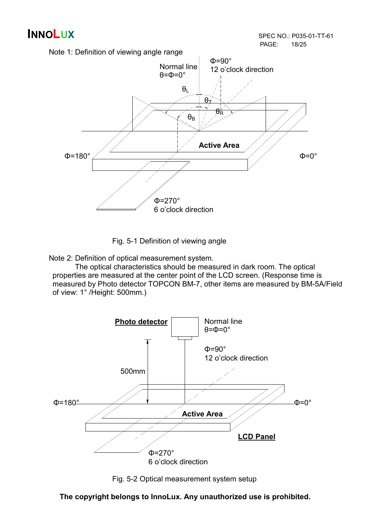

Fig. 5-1 Definition of viewing angle

Note 2: Definition of optical measurement system.

 The optical characteristics should be measured in dark room. The optical properties are measured at the center point of the LCD screen. (Response time is measured by Photo detector TOPCON BM-7, other items are measured by BM-5A/Field of view: 1° /Height: 500mm.)



Fig. 5-2 Optical measurement system setup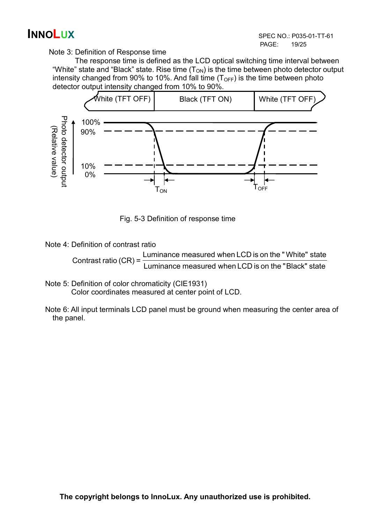Note 3: Definition of Response time

 The response time is defined as the LCD optical switching time interval between "White" state and "Black" state. Rise time  $(T_{ON})$  is the time between photo detector output intensity changed from 90% to 10%. And fall time  $(T<sub>OFF</sub>)$  is the time between photo detector output intensity changed from 10% to 90%.



Fig. 5-3 Definition of response time

Note 4: Definition of contrast ratio

 Luminance measured when LCD is on the " Black" state Luminance measured when LCD is on the " White" state Contrast ratio (CR) =

- Note 5: Definition of color chromaticity (CIE1931) Color coordinates measured at center point of LCD.
- Note 6: All input terminals LCD panel must be ground when measuring the center area of the panel.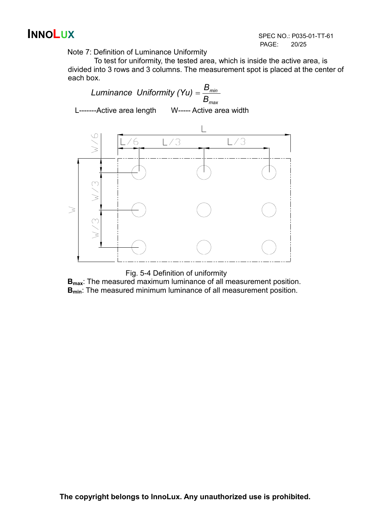INNOLUX SPEC NO.: P035-01-TT-61 PAGE: 20/25

Note 7: Definition of Luminance Uniformity

To test for uniformity, the tested area, which is inside the active area, is divided into 3 rows and 3 columns. The measurement spot is placed at the center of each box.



Fig. 5-4 Definition of uniformity

B<sub>max</sub>: The measured maximum luminance of all measurement position. **B**<sub>min</sub>: The measured minimum luminance of all measurement position.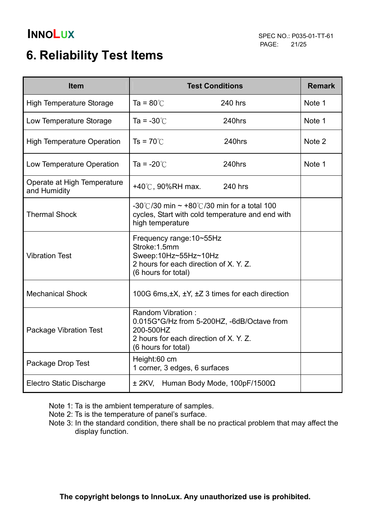## 6. Reliability Test Items

| <b>Item</b>                                 | <b>Test Conditions</b>                                                                                                                        | <b>Remark</b> |
|---------------------------------------------|-----------------------------------------------------------------------------------------------------------------------------------------------|---------------|
| <b>High Temperature Storage</b>             | Ta = $80^{\circ}$ C<br>240 hrs                                                                                                                | Note 1        |
| Low Temperature Storage                     | Ta = $-30^{\circ}$ C<br>240hrs                                                                                                                | Note 1        |
| <b>High Temperature Operation</b>           | $Ts = 70^{\circ}$<br>240hrs                                                                                                                   | Note 2        |
| Low Temperature Operation                   | Ta = $-20^{\circ}$ C<br>240hrs                                                                                                                | Note 1        |
| Operate at High Temperature<br>and Humidity | +40℃, 90%RH max.<br>240 hrs                                                                                                                   |               |
| <b>Thermal Shock</b>                        | -30°C/30 min $\sim$ +80°C/30 min for a total 100<br>cycles, Start with cold temperature and end with<br>high temperature                      |               |
| <b>Vibration Test</b>                       | Frequency range: 10~55Hz<br>Stroke: 1.5mm<br>Sweep:10Hz~55Hz~10Hz<br>2 hours for each direction of X. Y. Z.<br>(6 hours for total)            |               |
| <b>Mechanical Shock</b>                     | 100G 6ms, $\pm X$ , $\pm Y$ , $\pm Z$ 3 times for each direction                                                                              |               |
| <b>Package Vibration Test</b>               | Random Vibration:<br>0.015G*G/Hz from 5-200HZ, -6dB/Octave from<br>200-500HZ<br>2 hours for each direction of X. Y. Z.<br>(6 hours for total) |               |
| Package Drop Test                           | Height:60 cm<br>1 corner, 3 edges, 6 surfaces                                                                                                 |               |
| <b>Electro Static Discharge</b>             | ± 2KV, Human Body Mode, 100pF/1500Ω                                                                                                           |               |

Note 1: Ta is the ambient temperature of samples.

Note 2: Ts is the temperature of panel's surface.

 Note 3: In the standard condition, there shall be no practical problem that may affect the display function.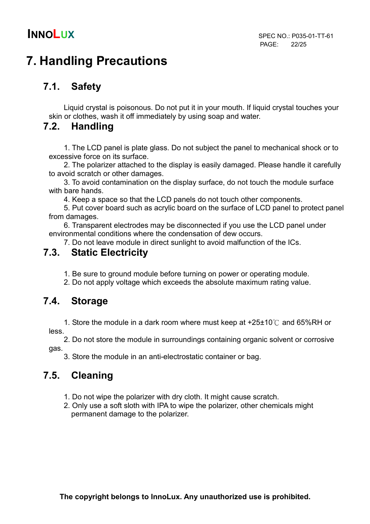## 7. Handling Precautions

### 7.1. Safety

Liquid crystal is poisonous. Do not put it in your mouth. If liquid crystal touches your skin or clothes, wash it off immediately by using soap and water.

### 7.2. Handling

1. The LCD panel is plate glass. Do not subject the panel to mechanical shock or to excessive force on its surface.

2. The polarizer attached to the display is easily damaged. Please handle it carefully to avoid scratch or other damages.

3. To avoid contamination on the display surface, do not touch the module surface with bare hands.

4. Keep a space so that the LCD panels do not touch other components.

5. Put cover board such as acrylic board on the surface of LCD panel to protect panel from damages.

6. Transparent electrodes may be disconnected if you use the LCD panel under environmental conditions where the condensation of dew occurs.

7. Do not leave module in direct sunlight to avoid malfunction of the ICs.

### 7.3. Static Electricity

1. Be sure to ground module before turning on power or operating module.

2. Do not apply voltage which exceeds the absolute maximum rating value.

### 7.4. Storage

1. Store the module in a dark room where must keep at  $+25\pm10\degree$  and 65%RH or less.

 2. Do not store the module in surroundings containing organic solvent or corrosive gas.

3. Store the module in an anti-electrostatic container or bag.

### 7.5. Cleaning

- 1. Do not wipe the polarizer with dry cloth. It might cause scratch.
- 2. Only use a soft sloth with IPA to wipe the polarizer, other chemicals might permanent damage to the polarizer.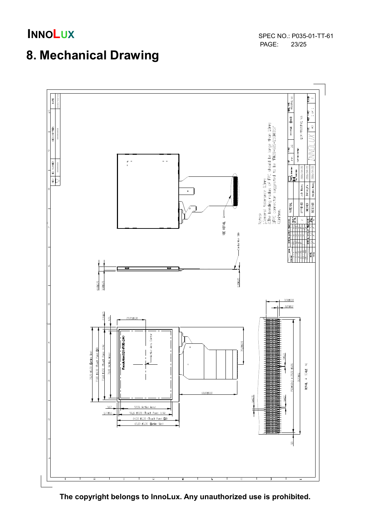**INNOLUX**<br>
SPEC NO.: P035-01-TT-61<br>
PAGE: 23/25 PAGE:

## 8. Mechanical Drawing



The copyright belongs to InnoLux. Any unauthorized use is prohibited.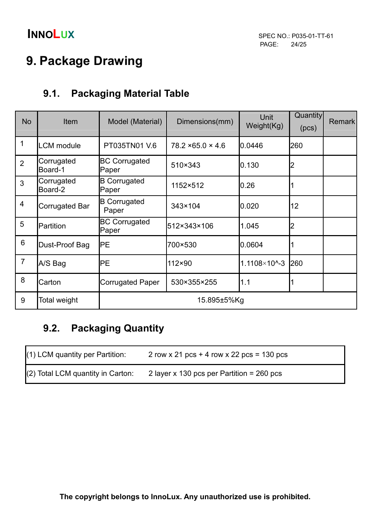## 9. Package Drawing

### 9.1. Packaging Material Table

| <b>No</b>      | <b>Item</b>           | Model (Material)              | Dimensions(mm)                | Unit<br>Weight(Kg)         | Quantity<br>(pcs) | <b>Remark</b> |
|----------------|-----------------------|-------------------------------|-------------------------------|----------------------------|-------------------|---------------|
| 1              | <b>LCM</b> module     | PT035TN01 V.6                 | $78.2 \times 65.0 \times 4.6$ | 0.0446                     | 260               |               |
| $\overline{2}$ | Corrugated<br>Board-1 | <b>BC Corrugated</b><br>Paper | 510×343                       | 0.130                      | 2                 |               |
| $\mathbf{3}$   | Corrugated<br>Board-2 | <b>B</b> Corrugated<br>Paper  | 1152×512                      | 0.26                       |                   |               |
| 4              | Corrugated Bar        | <b>B</b> Corrugated<br>Paper  | 343×104                       | 0.020                      | 12                |               |
| 5              | Partition             | <b>BC Corrugated</b><br>Paper | 512×343×106                   | 1.045                      | $\overline{2}$    |               |
| 6              | Dust-Proof Bag        | <b>IPE</b>                    | 700×530                       | 0.0604                     |                   |               |
| $\overline{7}$ | A/S Bag               | PE                            | $112\times90$                 | $1.1108 \times 10^{4} - 3$ | 260               |               |
| 8              | Carton                | <b>Corrugated Paper</b>       | 530×355×255                   | 1.1                        |                   |               |
| 9              | Total weight          |                               | 15.895±5%Kg                   |                            |                   |               |

## 9.2. Packaging Quantity

| $(1)$ LCM quantity per Partition: | 2 row x 21 pcs + 4 row x 22 pcs = $130$ pcs |
|-----------------------------------|---------------------------------------------|
| (2) Total LCM quantity in Carton: | 2 layer x 130 pcs per Partition = $260$ pcs |